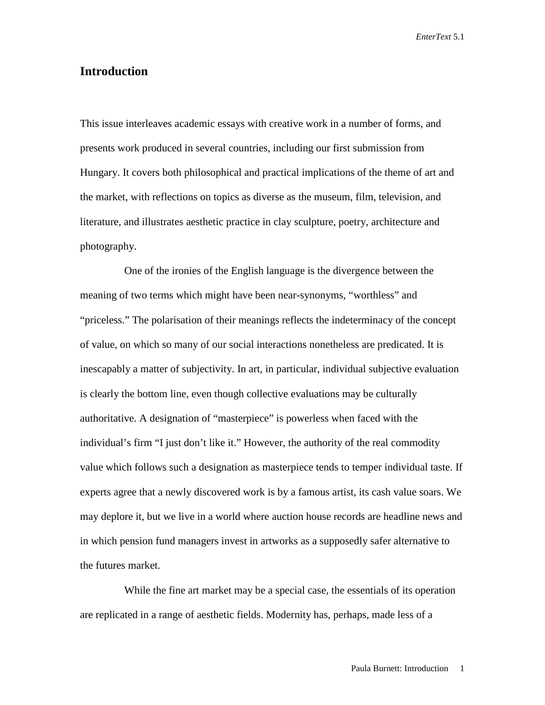## **Introduction**

This issue interleaves academic essays with creative work in a number of forms, and presents work produced in several countries, including our first submission from Hungary. It covers both philosophical and practical implications of the theme of art and the market, with reflections on topics as diverse as the museum, film, television, and literature, and illustrates aesthetic practice in clay sculpture, poetry, architecture and photography.

One of the ironies of the English language is the divergence between the meaning of two terms which might have been near-synonyms, "worthless" and "priceless." The polarisation of their meanings reflects the indeterminacy of the concept of value, on which so many of our social interactions nonetheless are predicated. It is inescapably a matter of subjectivity. In art, in particular, individual subjective evaluation is clearly the bottom line, even though collective evaluations may be culturally authoritative. A designation of "masterpiece" is powerless when faced with the individual's firm "I just don't like it." However, the authority of the real commodity value which follows such a designation as masterpiece tends to temper individual taste. If experts agree that a newly discovered work is by a famous artist, its cash value soars. We may deplore it, but we live in a world where auction house records are headline news and in which pension fund managers invest in artworks as a supposedly safer alternative to the futures market.

While the fine art market may be a special case, the essentials of its operation are replicated in a range of aesthetic fields. Modernity has, perhaps, made less of a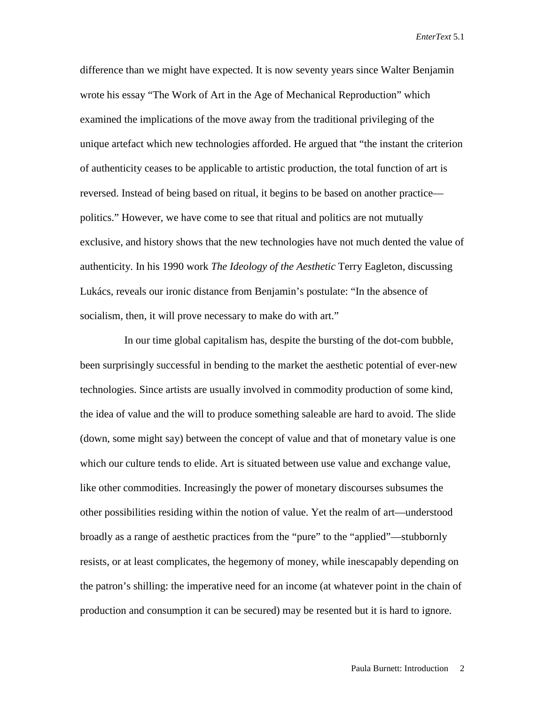difference than we might have expected. It is now seventy years since Walter Benjamin wrote his essay "The Work of Art in the Age of Mechanical Reproduction" which examined the implications of the move away from the traditional privileging of the unique artefact which new technologies afforded. He argued that "the instant the criterion of authenticity ceases to be applicable to artistic production, the total function of art is reversed. Instead of being based on ritual, it begins to be based on another practice politics." However, we have come to see that ritual and politics are not mutually exclusive, and history shows that the new technologies have not much dented the value of authenticity. In his 1990 work *The Ideology of the Aesthetic* Terry Eagleton, discussing Lukács, reveals our ironic distance from Benjamin's postulate: "In the absence of socialism, then, it will prove necessary to make do with art."

In our time global capitalism has, despite the bursting of the dot-com bubble, been surprisingly successful in bending to the market the aesthetic potential of ever-new technologies. Since artists are usually involved in commodity production of some kind, the idea of value and the will to produce something saleable are hard to avoid. The slide (down, some might say) between the concept of value and that of monetary value is one which our culture tends to elide. Art is situated between use value and exchange value, like other commodities. Increasingly the power of monetary discourses subsumes the other possibilities residing within the notion of value. Yet the realm of art—understood broadly as a range of aesthetic practices from the "pure" to the "applied"—stubbornly resists, or at least complicates, the hegemony of money, while inescapably depending on the patron's shilling: the imperative need for an income (at whatever point in the chain of production and consumption it can be secured) may be resented but it is hard to ignore.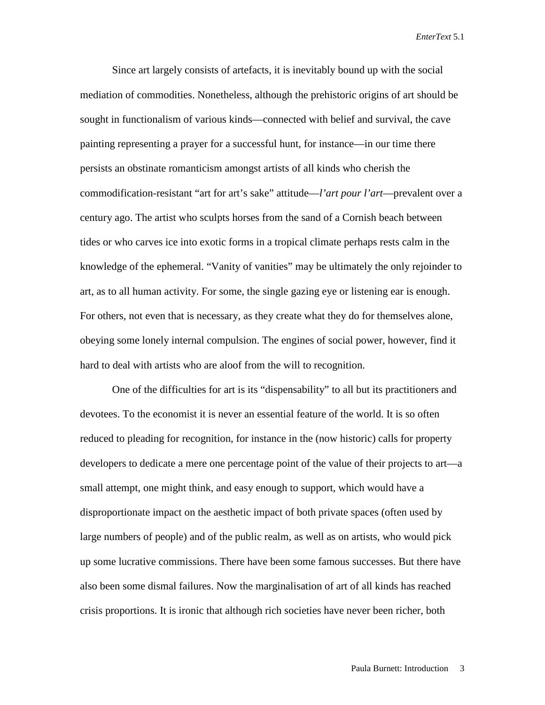Since art largely consists of artefacts, it is inevitably bound up with the social mediation of commodities. Nonetheless, although the prehistoric origins of art should be sought in functionalism of various kinds—connected with belief and survival, the cave painting representing a prayer for a successful hunt, for instance—in our time there persists an obstinate romanticism amongst artists of all kinds who cherish the commodification-resistant "art for art's sake" attitude—*l'art pour l'art*—prevalent over a century ago. The artist who sculpts horses from the sand of a Cornish beach between tides or who carves ice into exotic forms in a tropical climate perhaps rests calm in the knowledge of the ephemeral. "Vanity of vanities" may be ultimately the only rejoinder to art, as to all human activity. For some, the single gazing eye or listening ear is enough. For others, not even that is necessary, as they create what they do for themselves alone, obeying some lonely internal compulsion. The engines of social power, however, find it hard to deal with artists who are aloof from the will to recognition.

One of the difficulties for art is its "dispensability" to all but its practitioners and devotees. To the economist it is never an essential feature of the world. It is so often reduced to pleading for recognition, for instance in the (now historic) calls for property developers to dedicate a mere one percentage point of the value of their projects to art—a small attempt, one might think, and easy enough to support, which would have a disproportionate impact on the aesthetic impact of both private spaces (often used by large numbers of people) and of the public realm, as well as on artists, who would pick up some lucrative commissions. There have been some famous successes. But there have also been some dismal failures. Now the marginalisation of art of all kinds has reached crisis proportions. It is ironic that although rich societies have never been richer, both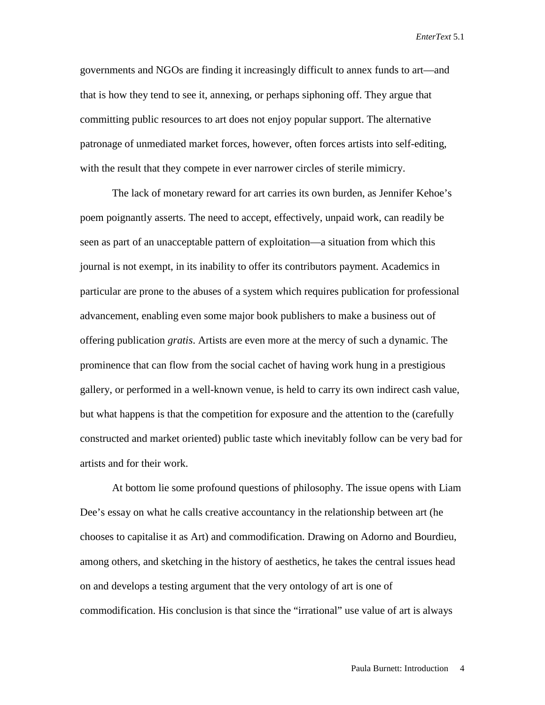governments and NGOs are finding it increasingly difficult to annex funds to art—and that is how they tend to see it, annexing, or perhaps siphoning off. They argue that committing public resources to art does not enjoy popular support. The alternative patronage of unmediated market forces, however, often forces artists into self-editing, with the result that they compete in ever narrower circles of sterile mimicry.

The lack of monetary reward for art carries its own burden, as Jennifer Kehoe's poem poignantly asserts. The need to accept, effectively, unpaid work, can readily be seen as part of an unacceptable pattern of exploitation—a situation from which this journal is not exempt, in its inability to offer its contributors payment. Academics in particular are prone to the abuses of a system which requires publication for professional advancement, enabling even some major book publishers to make a business out of offering publication *gratis*. Artists are even more at the mercy of such a dynamic. The prominence that can flow from the social cachet of having work hung in a prestigious gallery, or performed in a well-known venue, is held to carry its own indirect cash value, but what happens is that the competition for exposure and the attention to the (carefully constructed and market oriented) public taste which inevitably follow can be very bad for artists and for their work.

At bottom lie some profound questions of philosophy. The issue opens with Liam Dee's essay on what he calls creative accountancy in the relationship between art (he chooses to capitalise it as Art) and commodification. Drawing on Adorno and Bourdieu, among others, and sketching in the history of aesthetics, he takes the central issues head on and develops a testing argument that the very ontology of art is one of commodification. His conclusion is that since the "irrational" use value of art is always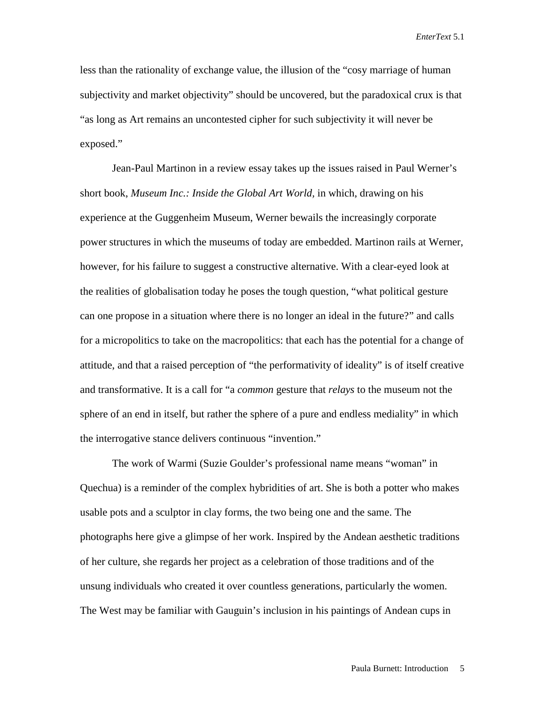less than the rationality of exchange value, the illusion of the "cosy marriage of human subjectivity and market objectivity" should be uncovered, but the paradoxical crux is that "as long as Art remains an uncontested cipher for such subjectivity it will never be exposed."

Jean-Paul Martinon in a review essay takes up the issues raised in Paul Werner's short book, *Museum Inc.: Inside the Global Art World,* in which, drawing on his experience at the Guggenheim Museum, Werner bewails the increasingly corporate power structures in which the museums of today are embedded. Martinon rails at Werner, however, for his failure to suggest a constructive alternative. With a clear-eyed look at the realities of globalisation today he poses the tough question, "what political gesture can one propose in a situation where there is no longer an ideal in the future?" and calls for a micropolitics to take on the macropolitics: that each has the potential for a change of attitude, and that a raised perception of "the performativity of ideality" is of itself creative and transformative. It is a call for "a *common* gesture that *relays* to the museum not the sphere of an end in itself, but rather the sphere of a pure and endless mediality" in which the interrogative stance delivers continuous "invention."

The work of Warmi (Suzie Goulder's professional name means "woman" in Quechua) is a reminder of the complex hybridities of art. She is both a potter who makes usable pots and a sculptor in clay forms, the two being one and the same. The photographs here give a glimpse of her work. Inspired by the Andean aesthetic traditions of her culture, she regards her project as a celebration of those traditions and of the unsung individuals who created it over countless generations, particularly the women. The West may be familiar with Gauguin's inclusion in his paintings of Andean cups in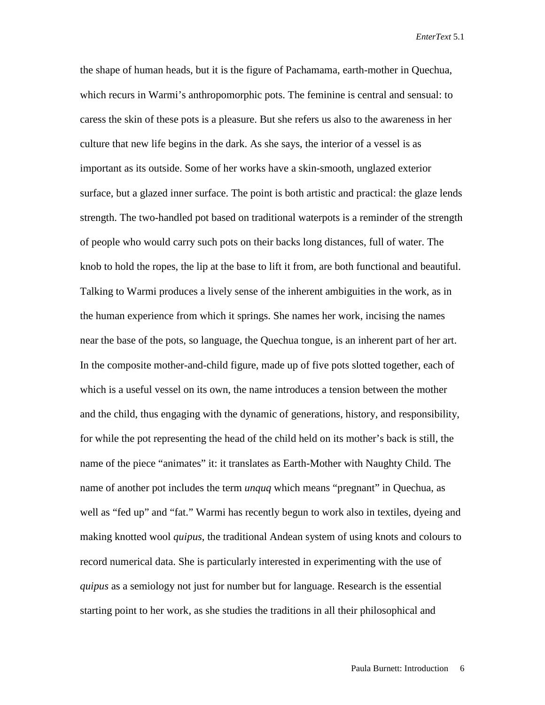the shape of human heads, but it is the figure of Pachamama, earth-mother in Quechua, which recurs in Warmi's anthropomorphic pots. The feminine is central and sensual: to caress the skin of these pots is a pleasure. But she refers us also to the awareness in her culture that new life begins in the dark. As she says, the interior of a vessel is as important as its outside. Some of her works have a skin-smooth, unglazed exterior surface, but a glazed inner surface. The point is both artistic and practical: the glaze lends strength. The two-handled pot based on traditional waterpots is a reminder of the strength of people who would carry such pots on their backs long distances, full of water. The knob to hold the ropes, the lip at the base to lift it from, are both functional and beautiful. Talking to Warmi produces a lively sense of the inherent ambiguities in the work, as in the human experience from which it springs. She names her work, incising the names near the base of the pots, so language, the Quechua tongue, is an inherent part of her art. In the composite mother-and-child figure, made up of five pots slotted together, each of which is a useful vessel on its own, the name introduces a tension between the mother and the child, thus engaging with the dynamic of generations, history, and responsibility, for while the pot representing the head of the child held on its mother's back is still, the name of the piece "animates" it: it translates as Earth-Mother with Naughty Child. The name of another pot includes the term *unquq* which means "pregnant" in Quechua, as well as "fed up" and "fat." Warmi has recently begun to work also in textiles, dyeing and making knotted wool *quipus*, the traditional Andean system of using knots and colours to record numerical data. She is particularly interested in experimenting with the use of *quipus* as a semiology not just for number but for language. Research is the essential starting point to her work, as she studies the traditions in all their philosophical and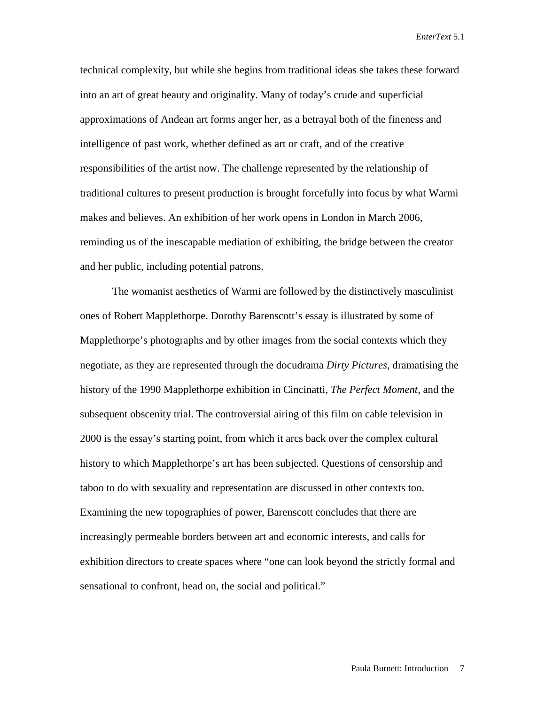technical complexity, but while she begins from traditional ideas she takes these forward into an art of great beauty and originality. Many of today's crude and superficial approximations of Andean art forms anger her, as a betrayal both of the fineness and intelligence of past work, whether defined as art or craft, and of the creative responsibilities of the artist now. The challenge represented by the relationship of traditional cultures to present production is brought forcefully into focus by what Warmi makes and believes. An exhibition of her work opens in London in March 2006, reminding us of the inescapable mediation of exhibiting, the bridge between the creator and her public, including potential patrons.

The womanist aesthetics of Warmi are followed by the distinctively masculinist ones of Robert Mapplethorpe. Dorothy Barenscott's essay is illustrated by some of Mapplethorpe's photographs and by other images from the social contexts which they negotiate, as they are represented through the docudrama *Dirty Pictures,* dramatising the history of the 1990 Mapplethorpe exhibition in Cincinatti, *The Perfect Moment,* and the subsequent obscenity trial. The controversial airing of this film on cable television in 2000 is the essay's starting point, from which it arcs back over the complex cultural history to which Mapplethorpe's art has been subjected. Questions of censorship and taboo to do with sexuality and representation are discussed in other contexts too. Examining the new topographies of power, Barenscott concludes that there are increasingly permeable borders between art and economic interests, and calls for exhibition directors to create spaces where "one can look beyond the strictly formal and sensational to confront, head on, the social and political."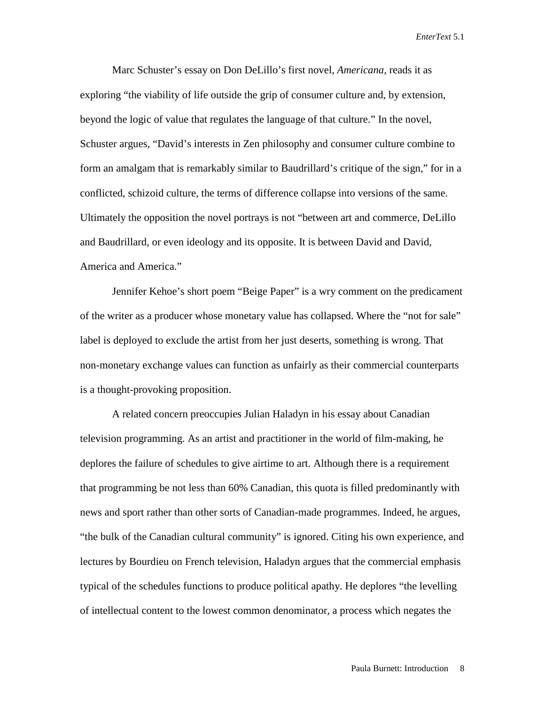Marc Schuster's essay on Don DeLillo's first novel, *Americana,* reads it as exploring "the viability of life outside the grip of consumer culture and, by extension, beyond the logic of value that regulates the language of that culture." In the novel, Schuster argues, "David's interests in Zen philosophy and consumer culture combine to form an amalgam that is remarkably similar to Baudrillard's critique of the sign," for in a conflicted, schizoid culture, the terms of difference collapse into versions of the same. Ultimately the opposition the novel portrays is not "between art and commerce, DeLillo and Baudrillard, or even ideology and its opposite. It is between David and David, America and America."

Jennifer Kehoe's short poem "Beige Paper" is a wry comment on the predicament of the writer as a producer whose monetary value has collapsed. Where the "not for sale" label is deployed to exclude the artist from her just deserts, something is wrong. That non-monetary exchange values can function as unfairly as their commercial counterparts is a thought-provoking proposition.

A related concern preoccupies Julian Haladyn in his essay about Canadian television programming. As an artist and practitioner in the world of film-making, he deplores the failure of schedules to give airtime to art. Although there is a requirement that programming be not less than 60% Canadian, this quota is filled predominantly with news and sport rather than other sorts of Canadian-made programmes. Indeed, he argues, "the bulk of the Canadian cultural community" is ignored. Citing his own experience, and lectures by Bourdieu on French television, Haladyn argues that the commercial emphasis typical of the schedules functions to produce political apathy. He deplores "the levelling of intellectual content to the lowest common denominator, a process which negates the

Paula Burnett: Introduction 8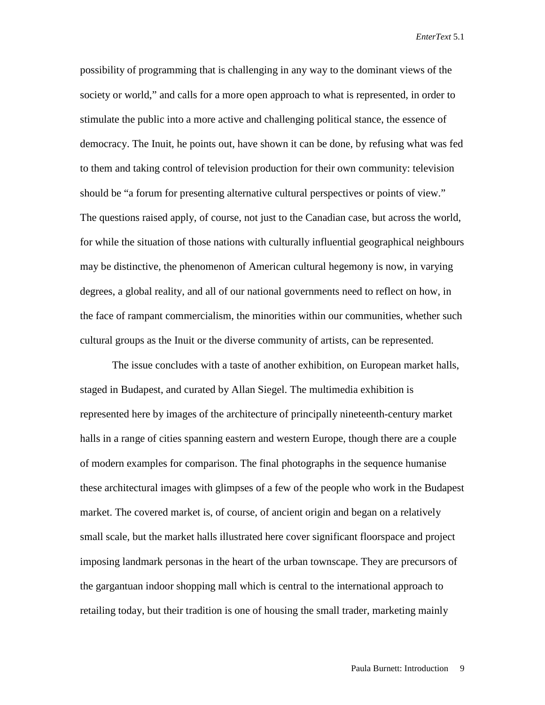possibility of programming that is challenging in any way to the dominant views of the society or world," and calls for a more open approach to what is represented, in order to stimulate the public into a more active and challenging political stance, the essence of democracy. The Inuit, he points out, have shown it can be done, by refusing what was fed to them and taking control of television production for their own community: television should be "a forum for presenting alternative cultural perspectives or points of view." The questions raised apply, of course, not just to the Canadian case, but across the world, for while the situation of those nations with culturally influential geographical neighbours may be distinctive, the phenomenon of American cultural hegemony is now, in varying degrees, a global reality, and all of our national governments need to reflect on how, in the face of rampant commercialism, the minorities within our communities, whether such cultural groups as the Inuit or the diverse community of artists, can be represented.

The issue concludes with a taste of another exhibition, on European market halls, staged in Budapest, and curated by Allan Siegel. The multimedia exhibition is represented here by images of the architecture of principally nineteenth-century market halls in a range of cities spanning eastern and western Europe, though there are a couple of modern examples for comparison. The final photographs in the sequence humanise these architectural images with glimpses of a few of the people who work in the Budapest market. The covered market is, of course, of ancient origin and began on a relatively small scale, but the market halls illustrated here cover significant floorspace and project imposing landmark personas in the heart of the urban townscape. They are precursors of the gargantuan indoor shopping mall which is central to the international approach to retailing today, but their tradition is one of housing the small trader, marketing mainly